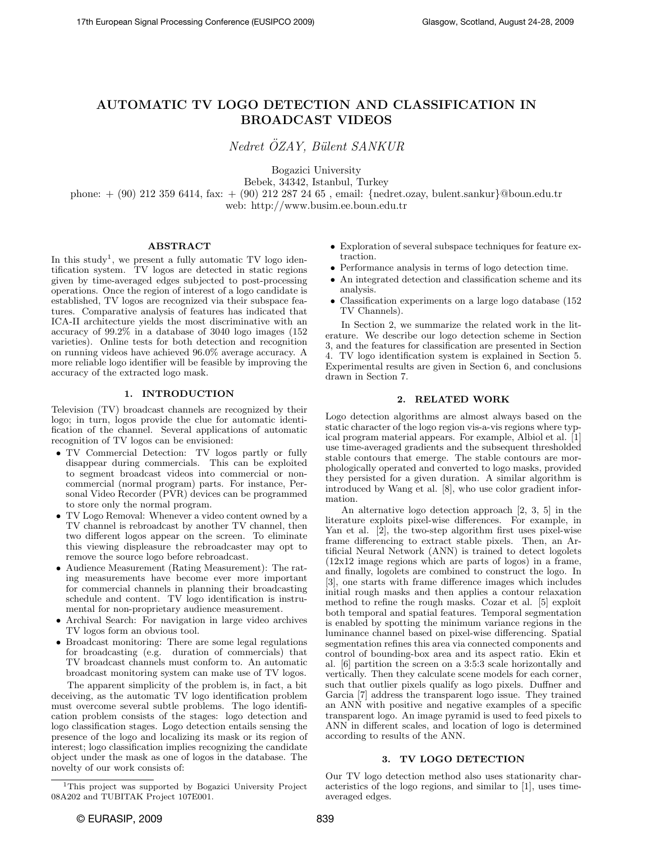# AUTOMATIC TV LOGO DETECTION AND CLASSIFICATION IN BROADCAST VIDEOS

Nedret ÖZAY, Bülent SANKUR

Bogazici University Bebek, 34342, Istanbul, Turkey phone: + (90) 212 359 6414, fax: + (90) 212 287 24 65 , email: {nedret.ozay, bulent.sankur}@boun.edu.tr web: http://www.busim.ee.boun.edu.tr

### ABSTRACT

In this study<sup>1</sup>, we present a fully automatic TV logo identification system. TV logos are detected in static regions given by time-averaged edges subjected to post-processing operations. Once the region of interest of a logo candidate is established, TV logos are recognized via their subspace features. Comparative analysis of features has indicated that ICA-II architecture yields the most discriminative with an accuracy of 99.2% in a database of 3040 logo images (152 varieties). Online tests for both detection and recognition on running videos have achieved 96.0% average accuracy. A more reliable logo identifier will be feasible by improving the accuracy of the extracted logo mask.

### 1. INTRODUCTION

Television (TV) broadcast channels are recognized by their logo; in turn, logos provide the clue for automatic identification of the channel. Several applications of automatic recognition of TV logos can be envisioned:

- TV Commercial Detection: TV logos partly or fully disappear during commercials. This can be exploited to segment broadcast videos into commercial or noncommercial (normal program) parts. For instance, Personal Video Recorder (PVR) devices can be programmed to store only the normal program.
- TV Logo Removal: Whenever a video content owned by a TV channel is rebroadcast by another TV channel, then two different logos appear on the screen. To eliminate this viewing displeasure the rebroadcaster may opt to remove the source logo before rebroadcast.
- Audience Measurement (Rating Measurement): The rating measurements have become ever more important for commercial channels in planning their broadcasting schedule and content. TV logo identification is instrumental for non-proprietary audience measurement.
- Archival Search: For navigation in large video archives TV logos form an obvious tool.
- Broadcast monitoring: There are some legal regulations for broadcasting (e.g. duration of commercials) that TV broadcast channels must conform to. An automatic broadcast monitoring system can make use of TV logos.

The apparent simplicity of the problem is, in fact, a bit deceiving, as the automatic TV logo identification problem must overcome several subtle problems. The logo identification problem consists of the stages: logo detection and logo classification stages. Logo detection entails sensing the presence of the logo and localizing its mask or its region of interest; logo classification implies recognizing the candidate object under the mask as one of logos in the database. The novelty of our work consists of:

- Exploration of several subspace techniques for feature extraction.
- Performance analysis in terms of logo detection time.
- $\bullet\,$  An integrated detection and classification scheme and its analysis.
- Classification experiments on a large logo database (152 TV Channels).

In Section 2, we summarize the related work in the literature. We describe our logo detection scheme in Section 3, and the features for classification are presented in Section 4. TV logo identification system is explained in Section 5. Experimental results are given in Section 6, and conclusions drawn in Section 7.

### 2. RELATED WORK

Logo detection algorithms are almost always based on the static character of the logo region vis-a-vis regions where typical program material appears. For example, Albiol et al. [1] use time-averaged gradients and the subsequent thresholded stable contours that emerge. The stable contours are morphologically operated and converted to logo masks, provided they persisted for a given duration. A similar algorithm is introduced by Wang et al. [8], who use color gradient information.

An alternative logo detection approach [2, 3, 5] in the literature exploits pixel-wise differences. For example, in Yan et al. [2], the two-step algorithm first uses pixel-wise frame differencing to extract stable pixels. Then, an Artificial Neural Network (ANN) is trained to detect logolets (12x12 image regions which are parts of logos) in a frame, and finally, logolets are combined to construct the logo. In [3], one starts with frame difference images which includes initial rough masks and then applies a contour relaxation method to refine the rough masks. Cozar et al. [5] exploit both temporal and spatial features. Temporal segmentation is enabled by spotting the minimum variance regions in the luminance channel based on pixel-wise differencing. Spatial segmentation refines this area via connected components and control of bounding-box area and its aspect ratio. Ekin et al. [6] partition the screen on a 3:5:3 scale horizontally and vertically. Then they calculate scene models for each corner, such that outlier pixels qualify as logo pixels. Duffner and Garcia [7] address the transparent logo issue. They trained an ANN with positive and negative examples of a specific transparent logo. An image pyramid is used to feed pixels to ANN in different scales, and location of logo is determined according to results of the ANN.

### 3. TV LOGO DETECTION

Our TV logo detection method also uses stationarity characteristics of the logo regions, and similar to [1], uses timeaveraged edges.

<sup>1</sup>This project was supported by Bogazici University Project 08A202 and TUBITAK Project 107E001.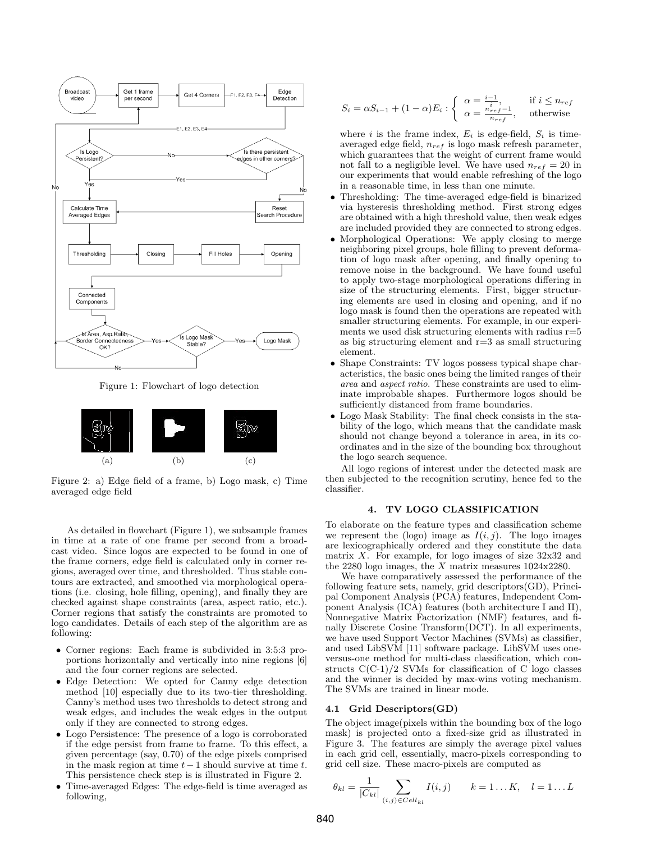

Figure 1: Flowchart of logo detection



Figure 2: a) Edge field of a frame, b) Logo mask, c) Time averaged edge field

As detailed in flowchart (Figure 1), we subsample frames in time at a rate of one frame per second from a broadcast video. Since logos are expected to be found in one of the frame corners, edge field is calculated only in corner regions, averaged over time, and thresholded. Thus stable contours are extracted, and smoothed via morphological operations (i.e. closing, hole filling, opening), and finally they are checked against shape constraints (area, aspect ratio, etc.). Corner regions that satisfy the constraints are promoted to logo candidates. Details of each step of the algorithm are as following:

- Corner regions: Each frame is subdivided in 3:5:3 proportions horizontally and vertically into nine regions [6] and the four corner regions are selected.
- Edge Detection: We opted for Canny edge detection method [10] especially due to its two-tier thresholding. Canny's method uses two thresholds to detect strong and weak edges, and includes the weak edges in the output only if they are connected to strong edges.
- Logo Persistence: The presence of a logo is corroborated if the edge persist from frame to frame. To this effect, a given percentage (say, 0.70) of the edge pixels comprised in the mask region at time  $t - 1$  should survive at time  $t$ . This persistence check step is is illustrated in Figure 2.
- Time-averaged Edges: The edge-field is time averaged as following,

$$
S_i = \alpha S_{i-1} + (1 - \alpha) E_i : \begin{cases} \alpha = \frac{i-1}{i}, & \text{if } i \leq n_{ref} \\ \alpha = \frac{n_{ref}-1}{n_{ref}}, & \text{otherwise} \end{cases}
$$

where i is the frame index,  $E_i$  is edge-field,  $S_i$  is timeaveraged edge field,  $n_{ref}$  is logo mask refresh parameter, which guarantees that the weight of current frame would not fall to a negligible level. We have used  $n_{ref} = 20$  in our experiments that would enable refreshing of the logo in a reasonable time, in less than one minute.

- Thresholding: The time-averaged edge-field is binarized via hysteresis thresholding method. First strong edges are obtained with a high threshold value, then weak edges are included provided they are connected to strong edges.
- Morphological Operations: We apply closing to merge neighboring pixel groups, hole filling to prevent deformation of logo mask after opening, and finally opening to remove noise in the background. We have found useful to apply two-stage morphological operations differing in size of the structuring elements. First, bigger structuring elements are used in closing and opening, and if no logo mask is found then the operations are repeated with smaller structuring elements. For example, in our experiments we used disk structuring elements with radius  $r=5$ as big structuring element and  $r=3$  as small structuring element.
- Shape Constraints: TV logos possess typical shape characteristics, the basic ones being the limited ranges of their area and aspect ratio. These constraints are used to eliminate improbable shapes. Furthermore logos should be sufficiently distanced from frame boundaries.
- Logo Mask Stability: The final check consists in the stability of the logo, which means that the candidate mask should not change beyond a tolerance in area, in its coordinates and in the size of the bounding box throughout the logo search sequence.

All logo regions of interest under the detected mask are then subjected to the recognition scrutiny, hence fed to the classifier.

## 4. TV LOGO CLASSIFICATION

To elaborate on the feature types and classification scheme we represent the (logo) image as  $I(i, j)$ . The logo images are lexicographically ordered and they constitute the data matrix  $X$ . For example, for logo images of size  $32x32$  and the 2280 logo images, the  $X$  matrix measures 1024x2280.

We have comparatively assessed the performance of the following feature sets, namely, grid descriptors(GD), Principal Component Analysis (PCA) features, Independent Component Analysis (ICA) features (both architecture I and II), Nonnegative Matrix Factorization (NMF) features, and finally Discrete Cosine Transform(DCT). In all experiments, we have used Support Vector Machines (SVMs) as classifier, and used LibSVM [11] software package. LibSVM uses oneversus-one method for multi-class classification, which constructs  $C(C-1)/2$  SVMs for classification of C logo classes and the winner is decided by max-wins voting mechanism. The SVMs are trained in linear mode.

#### 4.1 Grid Descriptors(GD)

The object image(pixels within the bounding box of the logo mask) is projected onto a fixed-size grid as illustrated in Figure 3. The features are simply the average pixel values in each grid cell, essentially, macro-pixels corresponding to grid cell size. These macro-pixels are computed as

$$
\theta_{kl} = \frac{1}{|C_{kl}|} \sum_{(i,j) \in Cell_{kl}} I(i,j) \qquad k = 1 \dots K, \quad l = 1 \dots L
$$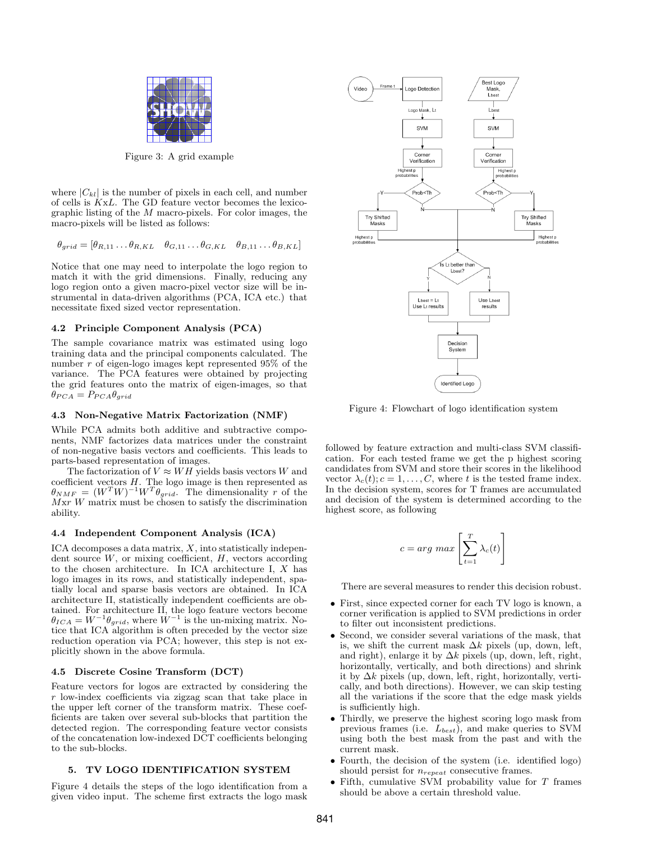

Figure 3: A grid example

where  $|C_{kl}|$  is the number of pixels in each cell, and number of cells is KxL. The GD feature vector becomes the lexicographic listing of the  $M$  macro-pixels. For color images, the macro-pixels will be listed as follows:

$$
\theta_{grid} = [\theta_{R,11} \dots \theta_{R,KL} \quad \theta_{G,11} \dots \theta_{G,KL} \quad \theta_{B,11} \dots \theta_{B,KL}]
$$

Notice that one may need to interpolate the logo region to match it with the grid dimensions. Finally, reducing any logo region onto a given macro-pixel vector size will be instrumental in data-driven algorithms (PCA, ICA etc.) that necessitate fixed sized vector representation.

#### 4.2 Principle Component Analysis (PCA)

The sample covariance matrix was estimated using logo training data and the principal components calculated. The number r of eigen-logo images kept represented 95% of the variance. The PCA features were obtained by projecting the grid features onto the matrix of eigen-images, so that  $\theta_{PCA} = P_{PCA}\theta_{grid}$ 

#### 4.3 Non-Negative Matrix Factorization (NMF)

While PCA admits both additive and subtractive components, NMF factorizes data matrices under the constraint of non-negative basis vectors and coefficients. This leads to parts-based representation of images.

The factorization of  $V \approx WH$  yields basis vectors W and coefficient vectors  $H$ . The logo image is then represented as  $\theta_{NMF} = (W^T W)^{-1} W^T \theta_{grid}$ . The dimensionality r of the  $Mxr$  W matrix must be chosen to satisfy the discrimination ability.

#### 4.4 Independent Component Analysis (ICA)

 $ICA$  decomposes a data matrix,  $X$ , into statistically independent source  $W$ , or mixing coefficient,  $H$ , vectors according to the chosen architecture. In ICA architecture I, X has logo images in its rows, and statistically independent, spatially local and sparse basis vectors are obtained. In ICA architecture II, statistically independent coefficients are obtained. For architecture II, the logo feature vectors become  $\theta_{ICA} = W^{-1} \theta_{grid}$ , where  $W^{-1}$  is the un-mixing matrix. Notice that ICA algorithm is often preceded by the vector size reduction operation via PCA; however, this step is not explicitly shown in the above formula.

### 4.5 Discrete Cosine Transform (DCT)

Feature vectors for logos are extracted by considering the r low-index coefficients via zigzag scan that take place in the upper left corner of the transform matrix. These coefficients are taken over several sub-blocks that partition the detected region. The corresponding feature vector consists of the concatenation low-indexed DCT coefficients belonging to the sub-blocks.

#### 5. TV LOGO IDENTIFICATION SYSTEM

Figure 4 details the steps of the logo identification from a given video input. The scheme first extracts the logo mask



Figure 4: Flowchart of logo identification system

followed by feature extraction and multi-class SVM classification. For each tested frame we get the p highest scoring candidates from SVM and store their scores in the likelihood vector  $\lambda_c(t)$ ;  $c = 1, \ldots, C$ , where t is the tested frame index. In the decision system, scores for T frames are accumulated and decision of the system is determined according to the highest score, as following

$$
c = arg\ max \left[ \sum_{t=1}^T \lambda_c(t) \right]
$$

There are several measures to render this decision robust.

- First, since expected corner for each TV logo is known, a corner verification is applied to SVM predictions in order to filter out inconsistent predictions.
- Second, we consider several variations of the mask, that is, we shift the current mask  $\Delta k$  pixels (up, down, left, and right), enlarge it by  $\Delta k$  pixels (up, down, left, right, horizontally, vertically, and both directions) and shrink it by  $\Delta k$  pixels (up, down, left, right, horizontally, vertically, and both directions). However, we can skip testing all the variations if the score that the edge mask yields is sufficiently high.
- Thirdly, we preserve the highest scoring logo mask from previous frames (i.e.  $L_{best}$ ), and make queries to SVM using both the best mask from the past and with the current mask.
- Fourth, the decision of the system (i.e. identified logo) should persist for  $n_{repeat}$  consecutive frames.
- Fifth, cumulative SVM probability value for T frames should be above a certain threshold value.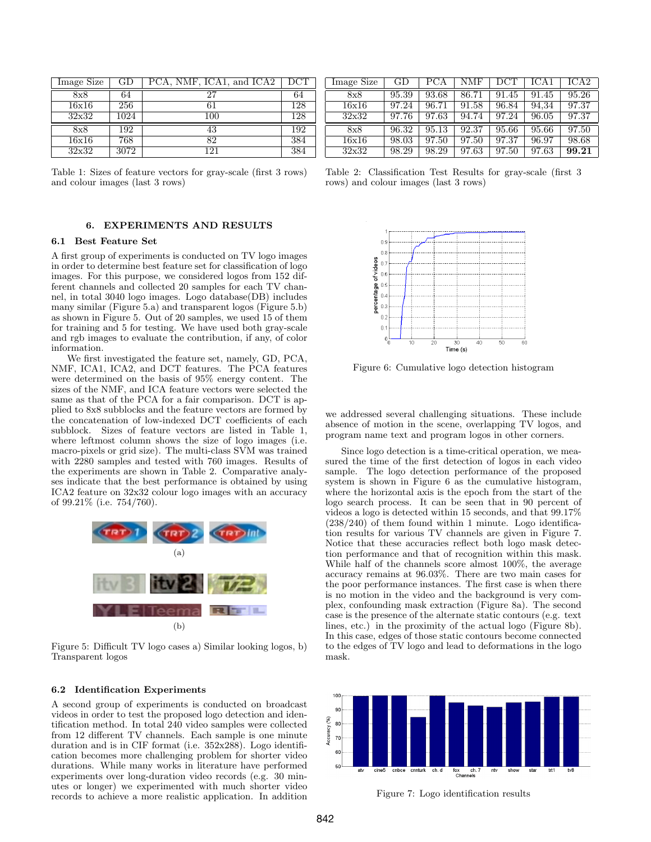| Image Size | GD   | PCA, NMF, ICA1, and ICA2 | $_{\mathrm{DCT}}$ |
|------------|------|--------------------------|-------------------|
| 8x8        | 64   | 27                       | 64                |
| 16x16      | 256  | 61                       | 128               |
| 32x32      | 1024 | 100                      | 128               |
| 8x8        | 192  | 43                       | 192               |
| 16x16      | 768  | 82                       | 384               |
| 32x32      | 3072 | 121                      | 384               |

Table 1: Sizes of feature vectors for gray-scale (first 3 rows) and colour images (last 3 rows)

### 6. EXPERIMENTS AND RESULTS

#### 6.1 Best Feature Set

A first group of experiments is conducted on TV logo images in order to determine best feature set for classification of logo images. For this purpose, we considered logos from 152 different channels and collected 20 samples for each TV channel, in total 3040 logo images. Logo database(DB) includes many similar (Figure 5.a) and transparent logos (Figure 5.b) as shown in Figure 5. Out of 20 samples, we used 15 of them for training and 5 for testing. We have used both gray-scale and rgb images to evaluate the contribution, if any, of color information.

We first investigated the feature set, namely, GD, PCA, NMF, ICA1, ICA2, and DCT features. The PCA features were determined on the basis of 95% energy content. The sizes of the NMF, and ICA feature vectors were selected the same as that of the PCA for a fair comparison. DCT is applied to 8x8 subblocks and the feature vectors are formed by the concatenation of low-indexed DCT coefficients of each subblock. Sizes of feature vectors are listed in Table 1, where leftmost column shows the size of logo images (i.e. macro-pixels or grid size). The multi-class SVM was trained with 2280 samples and tested with 760 images. Results of the experiments are shown in Table 2. Comparative analyses indicate that the best performance is obtained by using ICA2 feature on 32x32 colour logo images with an accuracy of 99.21% (i.e. 754/760).



Figure 5: Difficult TV logo cases a) Similar looking logos, b) Transparent logos

#### 6.2 Identification Experiments

A second group of experiments is conducted on broadcast videos in order to test the proposed logo detection and identification method. In total 240 video samples were collected from 12 different TV channels. Each sample is one minute duration and is in CIF format (i.e. 352x288). Logo identification becomes more challenging problem for shorter video durations. While many works in literature have performed experiments over long-duration video records (e.g. 30 minutes or longer) we experimented with much shorter video records to achieve a more realistic application. In addition

| Image Size | GD    | PCA   | NMF   | DCT   | ICA1  | ICA2  |
|------------|-------|-------|-------|-------|-------|-------|
| 8x8        | 95.39 | 93.68 | 86.71 | 91.45 | 91.45 | 95.26 |
| 16x16      | 97.24 | 96.71 | 91.58 | 96.84 | 94,34 | 97.37 |
| 32x32      | 97.76 | 97.63 | 94.74 | 97.24 | 96.05 | 97.37 |
| 8x8        | 96.32 | 95.13 | 92.37 | 95.66 | 95.66 | 97.50 |
| 16x16      | 98.03 | 97.50 | 97.50 | 97.37 | 96.97 | 98.68 |
| 32x32      | 98.29 | 98.29 | 97.63 | 97.50 | 97.63 | 99.21 |

Table 2: Classification Test Results for gray-scale (first 3 rows) and colour images (last 3 rows)



Figure 6: Cumulative logo detection histogram

we addressed several challenging situations. These include absence of motion in the scene, overlapping TV logos, and program name text and program logos in other corners.

Since logo detection is a time-critical operation, we measured the time of the first detection of logos in each video sample. The logo detection performance of the proposed system is shown in Figure 6 as the cumulative histogram, where the horizontal axis is the epoch from the start of the logo search process. It can be seen that in 90 percent of videos a logo is detected within 15 seconds, and that 99.17% (238/240) of them found within 1 minute. Logo identification results for various TV channels are given in Figure 7. Notice that these accuracies reflect both logo mask detection performance and that of recognition within this mask. While half of the channels score almost 100%, the average accuracy remains at 96.03%. There are two main cases for the poor performance instances. The first case is when there is no motion in the video and the background is very complex, confounding mask extraction (Figure 8a). The second case is the presence of the alternate static contours (e.g. text lines, etc.) in the proximity of the actual logo (Figure 8b). In this case, edges of those static contours become connected to the edges of TV logo and lead to deformations in the logo mask.



Figure 7: Logo identification results